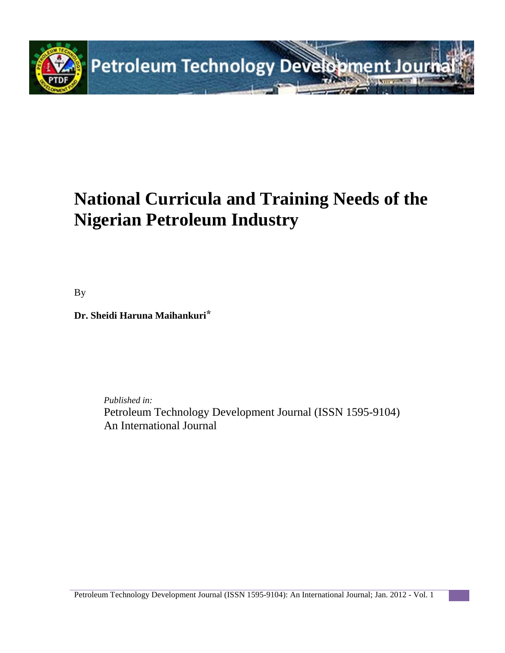

# **National Curricula and Training Needs of the Nigerian Petroleum Industry**

By

**Dr. Sheidi Haruna Maihankuri**\*

*Published in:* Petroleum Technology Development Journal (ISSN 1595-9104) An International Journal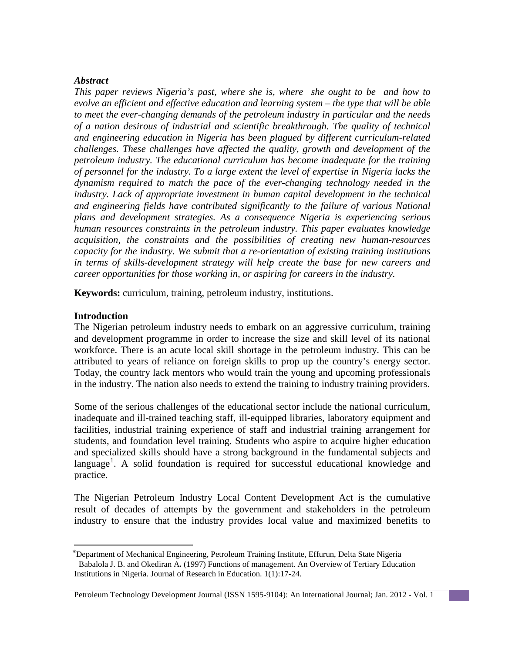#### *Abstract*

*This paper reviews Nigeria's past, where she is, where she ought to be and how to evolve an efficient and effective education and learning system – the type that will be able to meet the ever-changing demands of the petroleum industry in particular and the needs of a nation desirous of industrial and scientific breakthrough. The quality of technical and engineering education in Nigeria has been plagued by different curriculum-related challenges. These challenges have affected the quality, growth and development of the petroleum industry. The educational curriculum has become inadequate for the training of personnel for the industry. To a large extent the level of expertise in Nigeria lacks the dynamism required to match the pace of the ever-changing technology needed in the industry. Lack of appropriate investment in human capital development in the technical and engineering fields have contributed significantly to the failure of various National plans and development strategies. As a consequence Nigeria is experiencing serious human resources constraints in the petroleum industry. This paper evaluates knowledge acquisition, the constraints and the possibilities of creating new human-resources capacity for the industry. We submit that a re-orientation of existing training institutions in terms of skills-development strategy will help create the base for new careers and career opportunities for those working in, or aspiring for careers in the industry.*

**Keywords:** curriculum, training, petroleum industry, institutions.

#### **Introduction**

l

The Nigerian petroleum industry needs to embark on an aggressive curriculum, training and development programme in order to increase the size and skill level of its national workforce. There is an acute local skill shortage in the petroleum industry. This can be attributed to years of reliance on foreign skills to prop up the country's energy sector. Today, the country lack mentors who would train the young and upcoming professionals in the industry. The nation also needs to extend the training to industry training providers.

Some of the serious challenges of the educational sector include the national curriculum, inadequate and ill-trained teaching staff, ill-equipped libraries, laboratory equipment and facilities, industrial training experience of staff and industrial training arrangement for students, and foundation level training. Students who aspire to acquire higher education and specialized skills should have a strong background in the fundamental subjects and language<sup>[1](#page-1-0)</sup>. A solid foundation is required for successful educational knowledge and practice.

The Nigerian Petroleum Industry Local Content Development Act is the cumulative result of decades of attempts by the government and stakeholders in the petroleum industry to ensure that the industry provides local value and maximized benefits to

<span id="page-1-0"></span><sup>⃰</sup>Department of Mechanical Engineering, Petroleum Training Institute, Effurun, Delta State Nigeria Babalola J. B. and Okediran A**.** (1997) Functions of management. An Overview of Tertiary Education Institutions in Nigeria. Journal of Research in Education. 1(1):17-24.

Petroleum Technology Development Journal (ISSN 1595-9104): An International Journal; Jan. 2012 - Vol. 1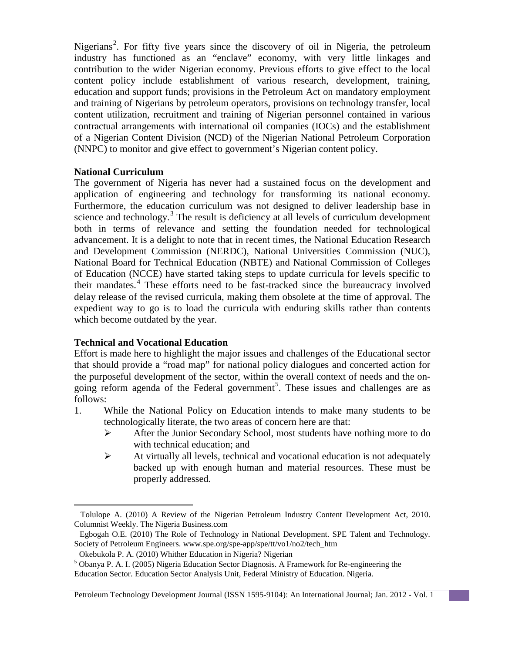Nigerians<sup>[2](#page-2-0)</sup>. For fifty five years since the discovery of oil in Nigeria, the petroleum industry has functioned as an "enclave" economy, with very little linkages and contribution to the wider Nigerian economy. Previous efforts to give effect to the local content policy include establishment of various research, development, training, education and support funds; provisions in the Petroleum Act on mandatory employment and training of Nigerians by petroleum operators, provisions on technology transfer, local content utilization, recruitment and training of Nigerian personnel contained in various contractual arrangements with international oil companies (IOCs) and the establishment of a Nigerian Content Division (NCD) of the Nigerian National Petroleum Corporation (NNPC) to monitor and give effect to government's Nigerian content policy.

## **National Curriculum**

The government of Nigeria has never had a sustained focus on the development and application of engineering and technology for transforming its national economy. Furthermore, the education curriculum was not designed to deliver leadership base in science and technology.<sup>[3](#page-2-1)</sup> The result is deficiency at all levels of curriculum development both in terms of relevance and setting the foundation needed for technological advancement. It is a delight to note that in recent times, the National Education Research and Development Commission (NERDC), National Universities Commission (NUC), National Board for Technical Education (NBTE) and National Commission of Colleges of Education (NCCE) have started taking steps to update curricula for levels specific to their mandates.<sup>[4](#page-2-2)</sup> These efforts need to be fast-tracked since the bureaucracy involved delay release of the revised curricula, making them obsolete at the time of approval. The expedient way to go is to load the curricula with enduring skills rather than contents which become outdated by the year.

# **Technical and Vocational Education**

 $\overline{\phantom{a}}$ 

Effort is made here to highlight the major issues and challenges of the Educational sector that should provide a "road map" for national policy dialogues and concerted action for the purposeful development of the sector, within the overall context of needs and the on-going reform agenda of the Federal government<sup>[5](#page-2-3)</sup>. These issues and challenges are as follows:

- 1. While the National Policy on Education intends to make many students to be technologically literate, the two areas of concern here are that:
	- After the Junior Secondary School, most students have nothing more to do with technical education; and
	- $\triangleright$  At virtually all levels, technical and vocational education is not adequately backed up with enough human and material resources. These must be properly addressed.

<span id="page-2-0"></span>Tolulope A. (2010) A Review of the Nigerian Petroleum Industry Content Development Act, 2010. Columnist Weekly. The Nigeria Business.com

<span id="page-2-1"></span>Egbogah O.E. (2010) The Role of Technology in National Development. SPE Talent and Technology. Society of Petroleum Engineers. www.spe.org/spe-app/spe/tt/vo1/no2/tech\_htm

Okebukola P. A. (2010) Whither Education in Nigeria? Nigerian

<span id="page-2-3"></span><span id="page-2-2"></span><sup>5</sup> Obanya P. A. I. (2005) Nigeria Education Sector Diagnosis. A Framework for Re-engineering the Education Sector. Education Sector Analysis Unit, Federal Ministry of Education. Nigeria.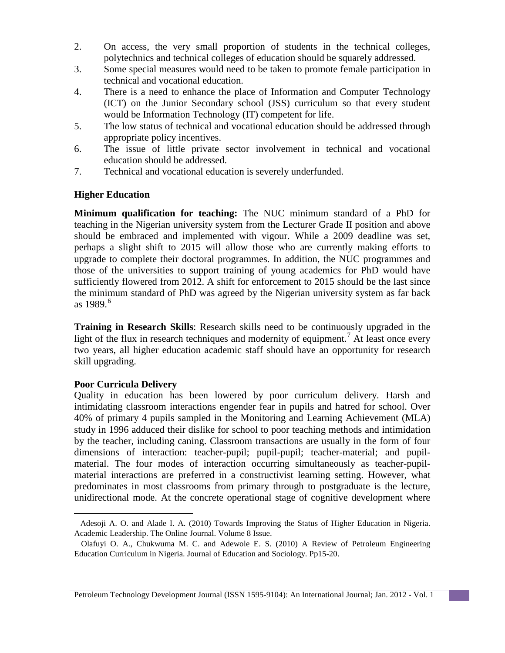- 2. On access, the very small proportion of students in the technical colleges, polytechnics and technical colleges of education should be squarely addressed.
- 3. Some special measures would need to be taken to promote female participation in technical and vocational education.
- 4. There is a need to enhance the place of Information and Computer Technology (ICT) on the Junior Secondary school (JSS) curriculum so that every student would be Information Technology (IT) competent for life.
- 5. The low status of technical and vocational education should be addressed through appropriate policy incentives.
- 6. The issue of little private sector involvement in technical and vocational education should be addressed.
- 7. Technical and vocational education is severely underfunded.

# **Higher Education**

**Minimum qualification for teaching:** The NUC minimum standard of a PhD for teaching in the Nigerian university system from the Lecturer Grade II position and above should be embraced and implemented with vigour. While a 2009 deadline was set, perhaps a slight shift to 2015 will allow those who are currently making efforts to upgrade to complete their doctoral programmes. In addition, the NUC programmes and those of the universities to support training of young academics for PhD would have sufficiently flowered from 2012. A shift for enforcement to 2015 should be the last since the minimum standard of PhD was agreed by the Nigerian university system as far back as 1989. [6](#page-3-0)

**Training in Research Skills**: Research skills need to be continuously upgraded in the light of the flux in research techniques and modernity of equipment.<sup>[7](#page-3-1)</sup> At least once every two years, all higher education academic staff should have an opportunity for research skill upgrading.

# **Poor Curricula Delivery**

l

Quality in education has been lowered by poor curriculum delivery. Harsh and intimidating classroom interactions engender fear in pupils and hatred for school. Over 40% of primary 4 pupils sampled in the Monitoring and Learning Achievement (MLA) study in 1996 adduced their dislike for school to poor teaching methods and intimidation by the teacher, including caning. Classroom transactions are usually in the form of four dimensions of interaction: teacher-pupil; pupil-pupil; teacher-material; and pupilmaterial. The four modes of interaction occurring simultaneously as teacher-pupilmaterial interactions are preferred in a constructivist learning setting. However, what predominates in most classrooms from primary through to postgraduate is the lecture, unidirectional mode. At the concrete operational stage of cognitive development where

<span id="page-3-0"></span>Adesoji A. O. and Alade I. A. (2010) Towards Improving the Status of Higher Education in Nigeria. Academic Leadership. The Online Journal. Volume 8 Issue.

<span id="page-3-1"></span>Olafuyi O. A., Chukwuma M. C. and Adewole E. S. (2010) A Review of Petroleum Engineering Education Curriculum in Nigeria. Journal of Education and Sociology. Pp15-20.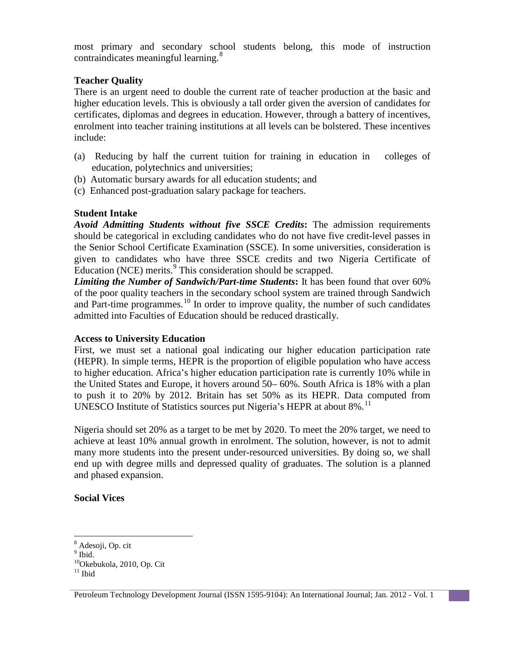most primary and secondary school students belong, this mode of instruction contraindicates meaningful learning.<sup>[8](#page-4-0)</sup>

## **Teacher Quality**

There is an urgent need to double the current rate of teacher production at the basic and higher education levels. This is obviously a tall order given the aversion of candidates for certificates, diplomas and degrees in education. However, through a battery of incentives, enrolment into teacher training institutions at all levels can be bolstered. These incentives include:

- (a) Reducing by half the current tuition for training in education in colleges of education, polytechnics and universities;
- (b) Automatic bursary awards for all education students; and
- (c) Enhanced post-graduation salary package for teachers.

## **Student Intake**

*Avoid Admitting Students without five SSCE Credits***:** The admission requirements should be categorical in excluding candidates who do not have five credit-level passes in the Senior School Certificate Examination (SSCE). In some universities, consideration is given to candidates who have three SSCE credits and two Nigeria Certificate of Education (NCE) merits.<sup>[9](#page-4-1)</sup> This consideration should be scrapped.

*Limiting the Number of Sandwich/Part-time Students***:** It has been found that over 60% of the poor quality teachers in the secondary school system are trained through Sandwich and Part-time programmes.<sup>[10](#page-4-2)</sup> In order to improve quality, the number of such candidates admitted into Faculties of Education should be reduced drastically.

#### **Access to University Education**

First, we must set a national goal indicating our higher education participation rate (HEPR). In simple terms, HEPR is the proportion of eligible population who have access to higher education. Africa's higher education participation rate is currently 10% while in the United States and Europe, it hovers around 50– 60%. South Africa is 18% with a plan to push it to 20% by 2012. Britain has set 50% as its HEPR. Data computed from UNESCO Institute of Statistics sources put Nigeria's HEPR at about 8%.<sup>[11](#page-4-3)</sup>

Nigeria should set 20% as a target to be met by 2020. To meet the 20% target, we need to achieve at least 10% annual growth in enrolment. The solution, however, is not to admit many more students into the present under-resourced universities. By doing so, we shall end up with degree mills and depressed quality of graduates. The solution is a planned and phased expansion.

# **Social Vices**

<span id="page-4-0"></span><sup>8</sup> Adesoji, Op. cit

<span id="page-4-1"></span> $<sup>9</sup>$  Ibid.</sup>

<span id="page-4-3"></span><span id="page-4-2"></span> $10^1$ Okebukola, 2010, Op. Cit

Petroleum Technology Development Journal (ISSN 1595-9104): An International Journal; Jan. 2012 - Vol. 1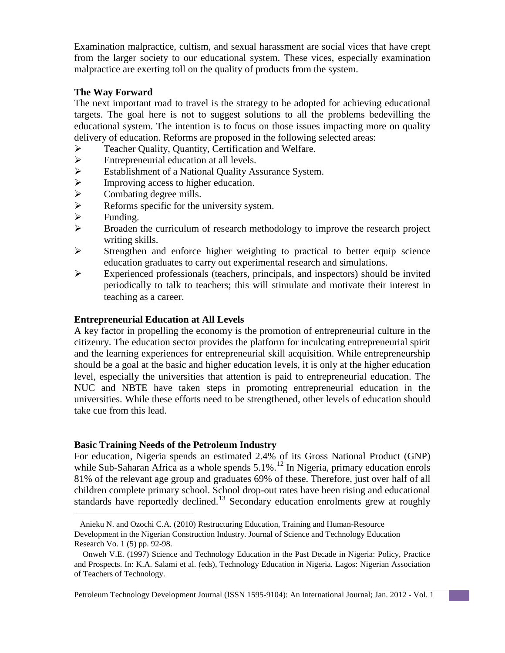Examination malpractice, cultism, and sexual harassment are social vices that have crept from the larger society to our educational system. These vices, especially examination malpractice are exerting toll on the quality of products from the system.

# **The Way Forward**

The next important road to travel is the strategy to be adopted for achieving educational targets. The goal here is not to suggest solutions to all the problems bedevilling the educational system. The intention is to focus on those issues impacting more on quality delivery of education. Reforms are proposed in the following selected areas:

- Teacher Quality, Quantity, Certification and Welfare.
- 
- Entrepreneurial education at all levels.<br>
Establishment of a National Quality As Establishment of a National Quality Assurance System.<br>
> Improving access to higher education.
- 
- Combating degree mills.
- → Improving access to higher education.<br>
→ Combating degree mills.<br>
→ Reforms specific for the university sys<br>
→ Funding. Reforms specific for the university system.
- $\triangleright$  Funding.<br> $\triangleright$  Broaden
- Broaden the curriculum of research methodology to improve the research project writing skills.
- $\triangleright$  Strengthen and enforce higher weighting to practical to better equip science education graduates to carry out experimental research and simulations.
- Experienced professionals (teachers, principals, and inspectors) should be invited periodically to talk to teachers; this will stimulate and motivate their interest in teaching as a career.

## **Entrepreneurial Education at All Levels**

A key factor in propelling the economy is the promotion of entrepreneurial culture in the citizenry. The education sector provides the platform for inculcating entrepreneurial spirit and the learning experiences for entrepreneurial skill acquisition. While entrepreneurship should be a goal at the basic and higher education levels, it is only at the higher education level, especially the universities that attention is paid to entrepreneurial education. The NUC and NBTE have taken steps in promoting entrepreneurial education in the universities. While these efforts need to be strengthened, other levels of education should take cue from this lead.

#### **Basic Training Needs of the Petroleum Industry**

For education, Nigeria spends an estimated 2.4% of its Gross National Product (GNP) while Sub-Saharan Africa as a whole spends  $5.1\%$ .<sup>[12](#page-5-0)</sup> In Nigeria, primary education enrols 81% of the relevant age group and graduates 69% of these. Therefore, just over half of all children complete primary school. School drop-out rates have been rising and educational standards have reportedly declined.<sup>[13](#page-5-1)</sup> Secondary education enrolments grew at roughly

<span id="page-5-0"></span> <sup>12</sup>Anieku N. and Ozochi C.A. (2010) Restructuring Education, Training and Human-Resource Development in the Nigerian Construction Industry. Journal of Science and Technology Education Research Vo. 1 (5) pp. 92-98.

<span id="page-5-1"></span><sup>13</sup> Onweh V.E. (1997) Science and Technology Education in the Past Decade in Nigeria: Policy, Practice and Prospects. In: K.A. Salami et al. (eds), Technology Education in Nigeria. Lagos: Nigerian Association of Teachers of Technology.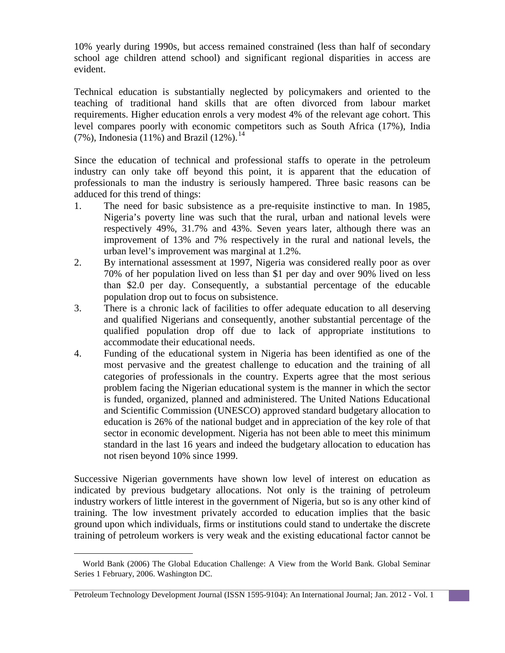10% yearly during 1990s, but access remained constrained (less than half of secondary school age children attend school) and significant regional disparities in access are evident.

Technical education is substantially neglected by policymakers and oriented to the teaching of traditional hand skills that are often divorced from labour market requirements. Higher education enrols a very modest 4% of the relevant age cohort. This level compares poorly with economic competitors such as South Africa (17%), India (7%), Indonesia  $(11\%)$  and Brazil (12%).<sup>[14](#page-6-0)</sup>

Since the education of technical and professional staffs to operate in the petroleum industry can only take off beyond this point, it is apparent that the education of professionals to man the industry is seriously hampered. Three basic reasons can be adduced for this trend of things:

- 1. The need for basic subsistence as a pre-requisite instinctive to man. In 1985, Nigeria's poverty line was such that the rural, urban and national levels were respectively 49%, 31.7% and 43%. Seven years later, although there was an improvement of 13% and 7% respectively in the rural and national levels, the urban level's improvement was marginal at 1.2%.
- 2. By international assessment at 1997, Nigeria was considered really poor as over 70% of her population lived on less than \$1 per day and over 90% lived on less than \$2.0 per day. Consequently, a substantial percentage of the educable population drop out to focus on subsistence.
- 3. There is a chronic lack of facilities to offer adequate education to all deserving and qualified Nigerians and consequently, another substantial percentage of the qualified population drop off due to lack of appropriate institutions to accommodate their educational needs.
- 4. Funding of the educational system in Nigeria has been identified as one of the most pervasive and the greatest challenge to education and the training of all categories of professionals in the country. Experts agree that the most serious problem facing the Nigerian educational system is the manner in which the sector is funded, organized, planned and administered. The United Nations Educational and Scientific Commission (UNESCO) approved standard budgetary allocation to education is 26% of the national budget and in appreciation of the key role of that sector in economic development. Nigeria has not been able to meet this minimum standard in the last 16 years and indeed the budgetary allocation to education has not risen beyond 10% since 1999.

Successive Nigerian governments have shown low level of interest on education as indicated by previous budgetary allocations. Not only is the training of petroleum industry workers of little interest in the government of Nigeria, but so is any other kind of training. The low investment privately accorded to education implies that the basic ground upon which individuals, firms or institutions could stand to undertake the discrete training of petroleum workers is very weak and the existing educational factor cannot be

<span id="page-6-0"></span> <sup>14</sup> World Bank (2006) The Global Education Challenge: A View from the World Bank. Global Seminar Series 1 February, 2006. Washington DC.

Petroleum Technology Development Journal (ISSN 1595-9104): An International Journal; Jan. 2012 - Vol. 1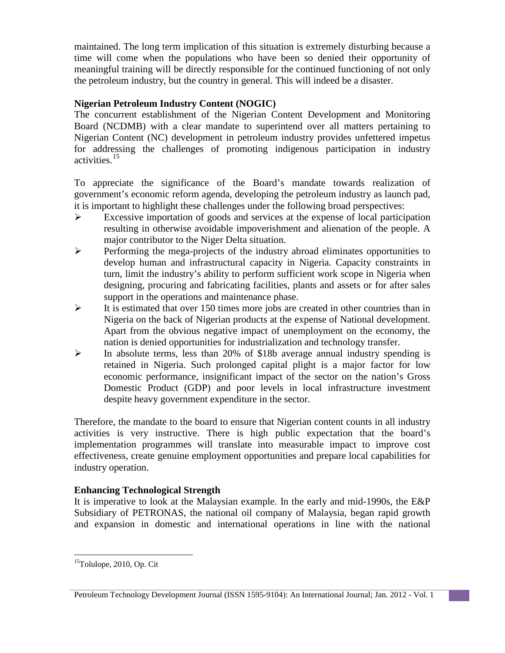maintained. The long term implication of this situation is extremely disturbing because a time will come when the populations who have been so denied their opportunity of meaningful training will be directly responsible for the continued functioning of not only the petroleum industry, but the country in general. This will indeed be a disaster.

# **Nigerian Petroleum Industry Content (NOGIC)**

The concurrent establishment of the Nigerian Content Development and Monitoring Board (NCDMB) with a clear mandate to superintend over all matters pertaining to Nigerian Content (NC) development in petroleum industry provides unfettered impetus for addressing the challenges of promoting indigenous participation in industry activities. [15](#page-7-0)

To appreciate the significance of the Board's mandate towards realization of government's economic reform agenda, developing the petroleum industry as launch pad, it is important to highlight these challenges under the following broad perspectives:

- Excessive importation of goods and services at the expense of local participation resulting in otherwise avoidable impoverishment and alienation of the people. A major contributor to the Niger Delta situation.
- Performing the mega-projects of the industry abroad eliminates opportunities to develop human and infrastructural capacity in Nigeria. Capacity constraints in turn, limit the industry's ability to perform sufficient work scope in Nigeria when designing, procuring and fabricating facilities, plants and assets or for after sales support in the operations and maintenance phase.
- $\triangleright$  It is estimated that over 150 times more jobs are created in other countries than in Nigeria on the back of Nigerian products at the expense of National development. Apart from the obvious negative impact of unemployment on the economy, the nation is denied opportunities for industrialization and technology transfer.
- In absolute terms, less than 20% of \$18b average annual industry spending is retained in Nigeria. Such prolonged capital plight is a major factor for low economic performance, insignificant impact of the sector on the nation's Gross Domestic Product (GDP) and poor levels in local infrastructure investment despite heavy government expenditure in the sector.

Therefore, the mandate to the board to ensure that Nigerian content counts in all industry activities is very instructive. There is high public expectation that the board's implementation programmes will translate into measurable impact to improve cost effectiveness, create genuine employment opportunities and prepare local capabilities for industry operation.

# **Enhancing Technological Strength**

It is imperative to look at the Malaysian example. In the early and mid-1990s, the E&P Subsidiary of PETRONAS, the national oil company of Malaysia, began rapid growth and expansion in domestic and international operations in line with the national

l

<span id="page-7-0"></span><sup>&</sup>lt;sup>15</sup>Tolulope, 2010, Op. Cit

Petroleum Technology Development Journal (ISSN 1595-9104): An International Journal; Jan. 2012 - Vol. 1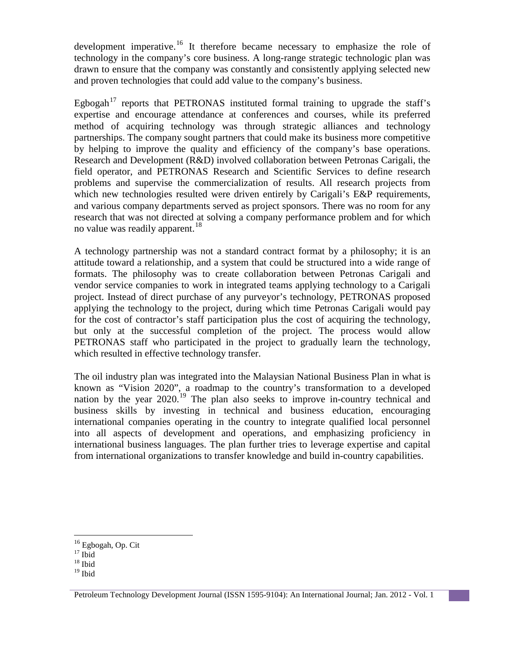development imperative.<sup>[16](#page-8-0)</sup> It therefore became necessary to emphasize the role of technology in the company's core business. A long-range strategic technologic plan was drawn to ensure that the company was constantly and consistently applying selected new and proven technologies that could add value to the company's business.

Egbogah<sup>[17](#page-8-1)</sup> reports that PETRONAS instituted formal training to upgrade the staff's expertise and encourage attendance at conferences and courses, while its preferred method of acquiring technology was through strategic alliances and technology partnerships. The company sought partners that could make its business more competitive by helping to improve the quality and efficiency of the company's base operations. Research and Development (R&D) involved collaboration between Petronas Carigali, the field operator, and PETRONAS Research and Scientific Services to define research problems and supervise the commercialization of results. All research projects from which new technologies resulted were driven entirely by Carigali's E&P requirements, and various company departments served as project sponsors. There was no room for any research that was not directed at solving a company performance problem and for which no value was readily apparent.<sup>[18](#page-8-2)</sup>

A technology partnership was not a standard contract format by a philosophy; it is an attitude toward a relationship, and a system that could be structured into a wide range of formats. The philosophy was to create collaboration between Petronas Carigali and vendor service companies to work in integrated teams applying technology to a Carigali project. Instead of direct purchase of any purveyor's technology, PETRONAS proposed applying the technology to the project, during which time Petronas Carigali would pay for the cost of contractor's staff participation plus the cost of acquiring the technology, but only at the successful completion of the project. The process would allow PETRONAS staff who participated in the project to gradually learn the technology, which resulted in effective technology transfer.

The oil industry plan was integrated into the Malaysian National Business Plan in what is known as "Vision 2020", a roadmap to the country's transformation to a developed nation by the year  $2020$ .<sup>[19](#page-8-3)</sup> The plan also seeks to improve in-country technical and business skills by investing in technical and business education, encouraging international companies operating in the country to integrate qualified local personnel into all aspects of development and operations, and emphasizing proficiency in international business languages. The plan further tries to leverage expertise and capital from international organizations to transfer knowledge and build in-country capabilities.

l

<sup>&</sup>lt;sup>16</sup> Egbogah, Op. Cit

<span id="page-8-1"></span><span id="page-8-0"></span> $\frac{17}{18}$  Ibid

<span id="page-8-3"></span><span id="page-8-2"></span> $19$  Ibid

Petroleum Technology Development Journal (ISSN 1595-9104): An International Journal; Jan. 2012 - Vol. 1